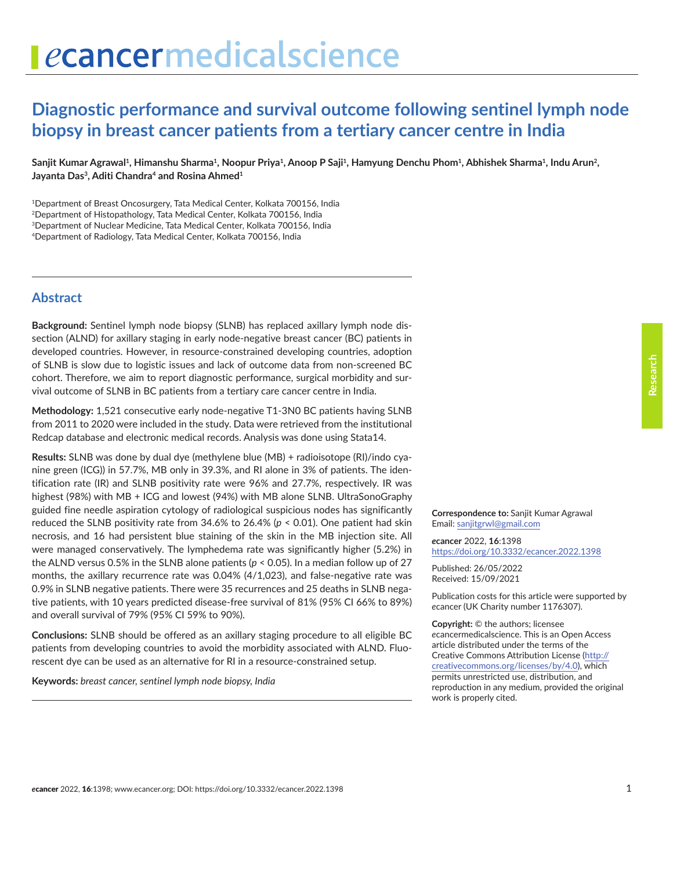## **Diagnostic performance and survival outcome following sentinel lymph node biopsy in breast cancer patients from a tertiary cancer centre in India**

Sanjit Kumar Agrawal<sup>1</sup>, Himanshu Sharma<sup>1</sup>, Noopur Priya<sup>1</sup>, Anoop P Saji<sup>1</sup>, Hamyung Denchu Phom<sup>1</sup>, Abhishek Sharma<sup>1</sup>, Indu Arun<sup>2</sup>, Jayanta Das<sup>3</sup>, Aditi Chandra<sup>4</sup> and Rosina Ahmed<sup>1</sup>

<sup>1</sup>Department of Breast Oncosurgery, Tata Medical Center, Kolkata 700156, India

2Department of Histopathology, Tata Medical Center, Kolkata 700156, India

3Department of Nuclear Medicine, Tata Medical Center, Kolkata 700156, India

4Department of Radiology, Tata Medical Center, Kolkata 700156, India

#### **Abstract**

**Background:** Sentinel lymph node biopsy (SLNB) has replaced axillary lymph node dissection (ALND) for axillary staging in early node-negative breast cancer (BC) patients in developed countries. However, in resource-constrained developing countries, adoption of SLNB is slow due to logistic issues and lack of outcome data from non-screened BC cohort. Therefore, we aim to report diagnostic performance, surgical morbidity and survival outcome of SLNB in BC patients from a tertiary care cancer centre in India.

**Methodology:** 1,521 consecutive early node-negative T1-3N0 BC patients having SLNB from 2011 to 2020 were included in the study. Data were retrieved from the institutional Redcap database and electronic medical records. Analysis was done using Stata14.

**Results:** SLNB was done by dual dye (methylene blue (MB) + radioisotope (RI)/indo cyanine green (ICG)) in 57.7%, MB only in 39.3%, and RI alone in 3% of patients. The identification rate (IR) and SLNB positivity rate were 96% and 27.7%, respectively. IR was highest (98%) with MB + ICG and lowest (94%) with MB alone SLNB. UltraSonoGraphy guided fine needle aspiration cytology of radiological suspicious nodes has significantly reduced the SLNB positivity rate from 34.6% to 26.4% (*p* < 0.01). One patient had skin necrosis, and 16 had persistent blue staining of the skin in the MB injection site. All were managed conservatively. The lymphedema rate was significantly higher (5.2%) in the ALND versus 0.5% in the SLNB alone patients ( $p < 0.05$ ). In a median follow up of 27 months, the axillary recurrence rate was 0.04% (4/1,023), and false-negative rate was 0.9% in SLNB negative patients. There were 35 recurrences and 25 deaths in SLNB negative patients, with 10 years predicted disease-free survival of 81% (95% CI 66% to 89%) and overall survival of 79% (95% CI 59% to 90%).

**Conclusions:** SLNB should be offered as an axillary staging procedure to all eligible BC patients from developing countries to avoid the morbidity associated with ALND. Fluorescent dye can be used as an alternative for RI in a resource-constrained setup.

**Keywords:** *breast cancer, sentinel lymph node biopsy, India*

**Correspondence to:** Sanjit Kumar Agrawal Email: [sanjitgrwl@gmail.com](mailto:sanjitgrwl@gmail.com)

*e***cancer** 2022, **16**:1398 <https://doi.org/10.3332/ecancer.2022.1398>

Published: 26/05/2022 Received: 15/09/2021

Publication costs for this article were supported by *e*cancer (UK Charity number 1176307).

**Copyright:** © the authors; licensee *e*cancermedicalscience. This is an Open Access article distributed under the terms of the Creative Commons Attribution License [\(http://](http://creativecommons.org/licenses/by/4.0) [creativecommons.org/licenses/by/4.0\)](http://creativecommons.org/licenses/by/4.0), which permits unrestricted use, distribution, and reproduction in any medium, provided the original work is properly cited.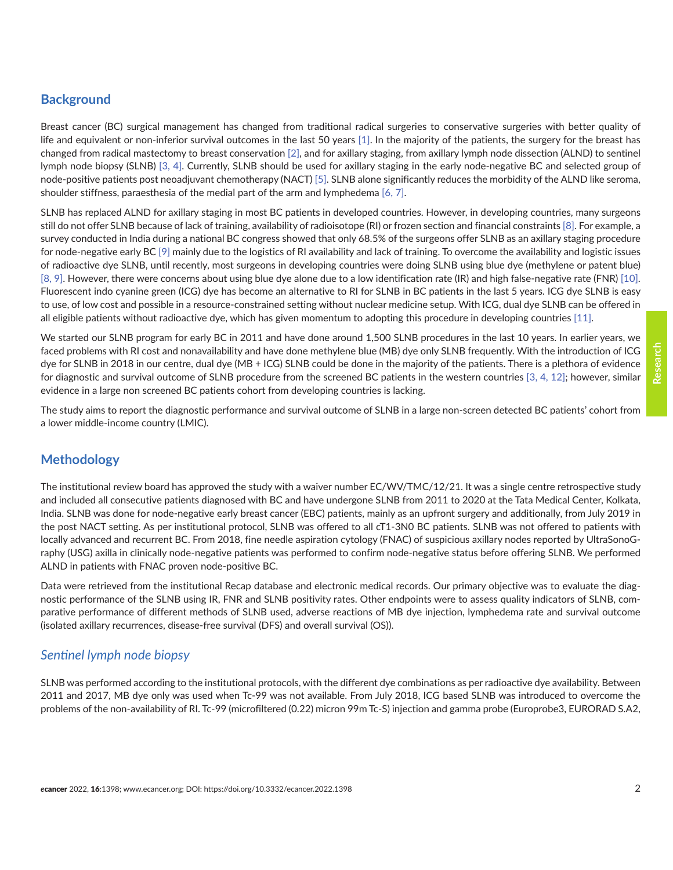# **Research**

#### **Background**

Breast cancer (BC) surgical management has changed from traditional radical surgeries to conservative surgeries with better quality of life and equivalent or non-inferior survival outcomes in the last 50 years [\[1\].](#page-8-0) In the majority of the patients, the surgery for the breast has changed from radical mastectomy to breast conservation [\[2\],](#page-8-0) and for axillary staging, from axillary lymph node dissection (ALND) to sentinel lymph node biopsy (SLNB) [\[3, 4\]](#page-8-0). Currently, SLNB should be used for axillary staging in the early node-negative BC and selected group of node-positive patients post neoadjuvant chemotherapy (NACT) [\[5\]](#page-8-0). SLNB alone significantly reduces the morbidity of the ALND like seroma, shoulder stiffness, paraesthesia of the medial part of the arm and lymphedema [\[6, 7\].](#page-8-0)

SLNB has replaced ALND for axillary staging in most BC patients in developed countries. However, in developing countries, many surgeons still do not offer SLNB because of lack of training, availability of radioisotope (RI) or frozen section and financial constraints [\[8\].](#page-8-0) For example, a survey conducted in India during a national BC congress showed that only 68.5% of the surgeons offer SLNB as an axillary staging procedure for node-negative early BC [\[9\]](#page-8-0) mainly due to the logistics of RI availability and lack of training. To overcome the availability and logistic issues of radioactive dye SLNB, until recently, most surgeons in developing countries were doing SLNB using blue dye (methylene or patent blue) [\[8, 9\]](#page-8-0). However, there were concerns about using blue dye alone due to a low identification rate (IR) and high false-negative rate (FNR) [\[10\].](#page-8-0) Fluorescent indo cyanine green (ICG) dye has become an alternative to RI for SLNB in BC patients in the last 5 years. ICG dye SLNB is easy to use, of low cost and possible in a resource-constrained setting without nuclear medicine setup. With ICG, dual dye SLNB can be offered in all eligible patients without radioactive dye, which has given momentum to adopting this procedure in developing countries [\[11\]](#page-8-0).

We started our SLNB program for early BC in 2011 and have done around 1,500 SLNB procedures in the last 10 years. In earlier years, we faced problems with RI cost and nonavailability and have done methylene blue (MB) dye only SLNB frequently. With the introduction of ICG dye for SLNB in 2018 in our centre, dual dye (MB + ICG) SLNB could be done in the majority of the patients. There is a plethora of evidence for diagnostic and survival outcome of SLNB procedure from the screened BC patients in the western countries [\[3,](#page-8-0) [4,](#page-8-0) [12\]](#page-9-0); however, similar evidence in a large non screened BC patients cohort from developing countries is lacking.

The study aims to report the diagnostic performance and survival outcome of SLNB in a large non-screen detected BC patients' cohort from a lower middle-income country (LMIC).

#### **Methodology**

The institutional review board has approved the study with a waiver number EC/WV/TMC/12/21. It was a single centre retrospective study and included all consecutive patients diagnosed with BC and have undergone SLNB from 2011 to 2020 at the Tata Medical Center, Kolkata, India. SLNB was done for node-negative early breast cancer (EBC) patients, mainly as an upfront surgery and additionally, from July 2019 in the post NACT setting. As per institutional protocol, SLNB was offered to all cT1-3N0 BC patients. SLNB was not offered to patients with locally advanced and recurrent BC. From 2018, fine needle aspiration cytology (FNAC) of suspicious axillary nodes reported by UltraSonoGraphy (USG) axilla in clinically node-negative patients was performed to confirm node-negative status before offering SLNB. We performed ALND in patients with FNAC proven node-positive BC.

Data were retrieved from the institutional Recap database and electronic medical records. Our primary objective was to evaluate the diagnostic performance of the SLNB using IR, FNR and SLNB positivity rates. Other endpoints were to assess quality indicators of SLNB, comparative performance of different methods of SLNB used, adverse reactions of MB dye injection, lymphedema rate and survival outcome (isolated axillary recurrences, disease-free survival (DFS) and overall survival (OS)).

#### *Sentinel lymph node biopsy*

SLNB was performed according to the institutional protocols, with the different dye combinations as per radioactive dye availability. Between 2011 and 2017, MB dye only was used when Tc-99 was not available. From July 2018, ICG based SLNB was introduced to overcome the problems of the non-availability of RI. Tc-99 (microfiltered (0.22) micron 99m Tc-S) injection and gamma probe (Europrobe3, EURORAD S.A2,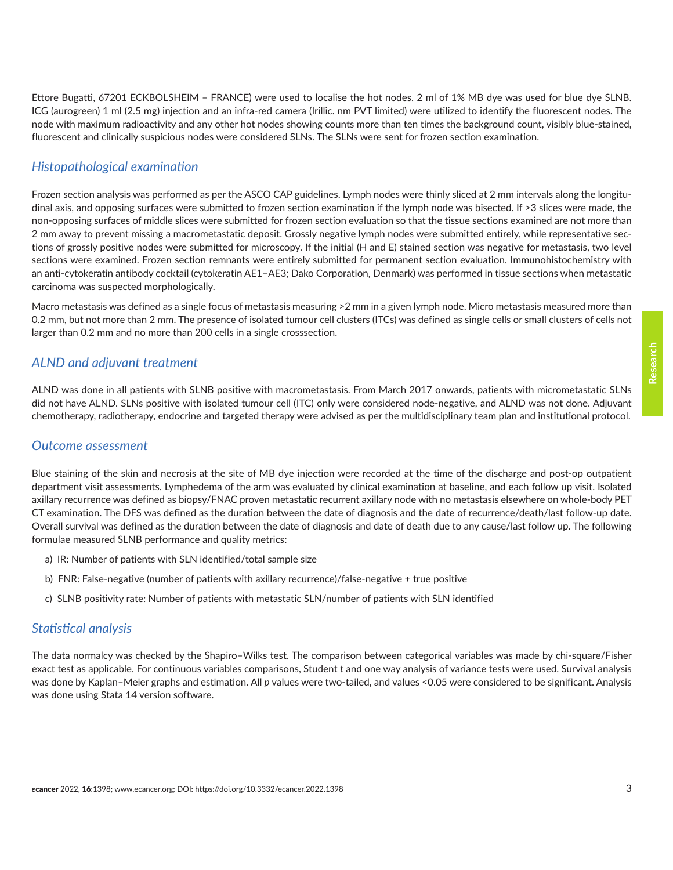Ettore Bugatti, 67201 ECKBOLSHEIM – FRANCE) were used to localise the hot nodes. 2 ml of 1% MB dye was used for blue dye SLNB. ICG (aurogreen) 1 ml (2.5 mg) injection and an infra-red camera (Irillic. nm PVT limited) were utilized to identify the fluorescent nodes. The node with maximum radioactivity and any other hot nodes showing counts more than ten times the background count, visibly blue-stained, fluorescent and clinically suspicious nodes were considered SLNs. The SLNs were sent for frozen section examination.

#### *Histopathological examination*

Frozen section analysis was performed as per the ASCO CAP guidelines. Lymph nodes were thinly sliced at 2 mm intervals along the longitudinal axis, and opposing surfaces were submitted to frozen section examination if the lymph node was bisected. If >3 slices were made, the non-opposing surfaces of middle slices were submitted for frozen section evaluation so that the tissue sections examined are not more than 2 mm away to prevent missing a macrometastatic deposit. Grossly negative lymph nodes were submitted entirely, while representative sections of grossly positive nodes were submitted for microscopy. If the initial (H and E) stained section was negative for metastasis, two level sections were examined. Frozen section remnants were entirely submitted for permanent section evaluation. Immunohistochemistry with an anti-cytokeratin antibody cocktail (cytokeratin AE1–AE3; Dako Corporation, Denmark) was performed in tissue sections when metastatic carcinoma was suspected morphologically.

Macro metastasis was defined as a single focus of metastasis measuring >2 mm in a given lymph node. Micro metastasis measured more than 0.2 mm, but not more than 2 mm. The presence of isolated tumour cell clusters (ITCs) was defined as single cells or small clusters of cells not larger than 0.2 mm and no more than 200 cells in a single crosssection.

#### *ALND and adjuvant treatment*

ALND was done in all patients with SLNB positive with macrometastasis. From March 2017 onwards, patients with micrometastatic SLNs did not have ALND. SLNs positive with isolated tumour cell (ITC) only were considered node-negative, and ALND was not done. Adjuvant chemotherapy, radiotherapy, endocrine and targeted therapy were advised as per the multidisciplinary team plan and institutional protocol.

#### *Outcome assessment*

Blue staining of the skin and necrosis at the site of MB dye injection were recorded at the time of the discharge and post-op outpatient department visit assessments. Lymphedema of the arm was evaluated by clinical examination at baseline, and each follow up visit. Isolated axillary recurrence was defined as biopsy/FNAC proven metastatic recurrent axillary node with no metastasis elsewhere on whole-body PET CT examination. The DFS was defined as the duration between the date of diagnosis and the date of recurrence/death/last follow-up date. Overall survival was defined as the duration between the date of diagnosis and date of death due to any cause/last follow up. The following formulae measured SLNB performance and quality metrics:

- a) IR: Number of patients with SLN identified/total sample size
- b) FNR: False-negative (number of patients with axillary recurrence)/false-negative + true positive
- c) SLNB positivity rate: Number of patients with metastatic SLN/number of patients with SLN identified

#### *Statistical analysis*

The data normalcy was checked by the Shapiro–Wilks test. The comparison between categorical variables was made by chi-square/Fisher exact test as applicable. For continuous variables comparisons, Student *t* and one way analysis of variance tests were used. Survival analysis was done by Kaplan–Meier graphs and estimation. All *p* values were two-tailed, and values <0.05 were considered to be significant. Analysis was done using Stata 14 version software.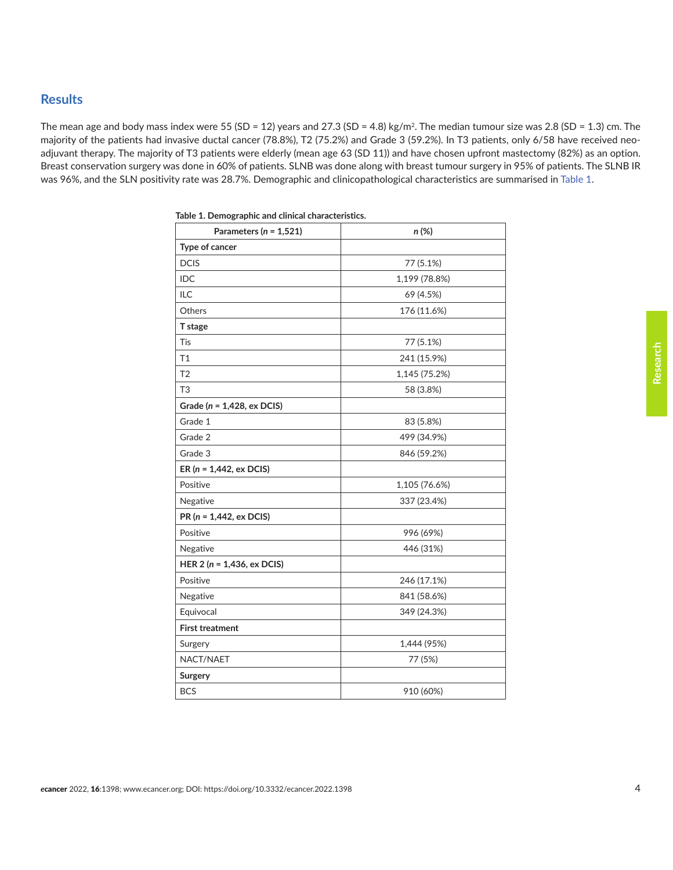#### **Results**

The mean age and body mass index were 55 (SD = 12) years and 27.3 (SD = 4.8) kg/m<sup>2</sup>. The median tumour size was 2.8 (SD = 1.3) cm. The majority of the patients had invasive ductal cancer (78.8%), T2 (75.2%) and Grade 3 (59.2%). In T3 patients, only 6/58 have received neoadjuvant therapy. The majority of T3 patients were elderly (mean age 63 (SD 11)) and have chosen upfront mastectomy (82%) as an option. Breast conservation surgery was done in 60% of patients. SLNB was done along with breast tumour surgery in 95% of patients. The SLNB IR was 96%, and the SLN positivity rate was 28.7%. Demographic and clinicopathological characteristics are summarised in Table 1.

| Parameters ( $n = 1,521$ )     | n (%)         |
|--------------------------------|---------------|
| Type of cancer                 |               |
| <b>DCIS</b>                    | 77 (5.1%)     |
| IDC                            | 1,199 (78.8%) |
| ILC                            | 69 (4.5%)     |
| Others                         | 176 (11.6%)   |
| T stage                        |               |
| Tis                            | 77 (5.1%)     |
| T1                             | 241 (15.9%)   |
| T <sub>2</sub>                 | 1,145 (75.2%) |
| T <sub>3</sub>                 | 58 (3.8%)     |
| Grade ( $n = 1,428$ , ex DCIS) |               |
| Grade 1                        | 83 (5.8%)     |
| Grade 2                        | 499 (34.9%)   |
| Grade 3                        | 846 (59.2%)   |
| ER ( $n = 1,442$ , ex DCIS)    |               |
| Positive                       | 1,105 (76.6%) |
| Negative                       | 337 (23.4%)   |
| $PR(n = 1,442, ex DCIS)$       |               |
| Positive                       | 996 (69%)     |
| Negative                       | 446 (31%)     |
| HER $2(n = 1,436, ex DCIS)$    |               |
| Positive                       | 246 (17.1%)   |
| Negative                       | 841 (58.6%)   |
| Equivocal                      | 349 (24.3%)   |
| <b>First treatment</b>         |               |
| Surgery                        | 1,444 (95%)   |
| NACT/NAET                      | 77 (5%)       |
| Surgery                        |               |
| <b>BCS</b>                     | 910 (60%)     |

**Table 1. Demographic and clinical characteristics.**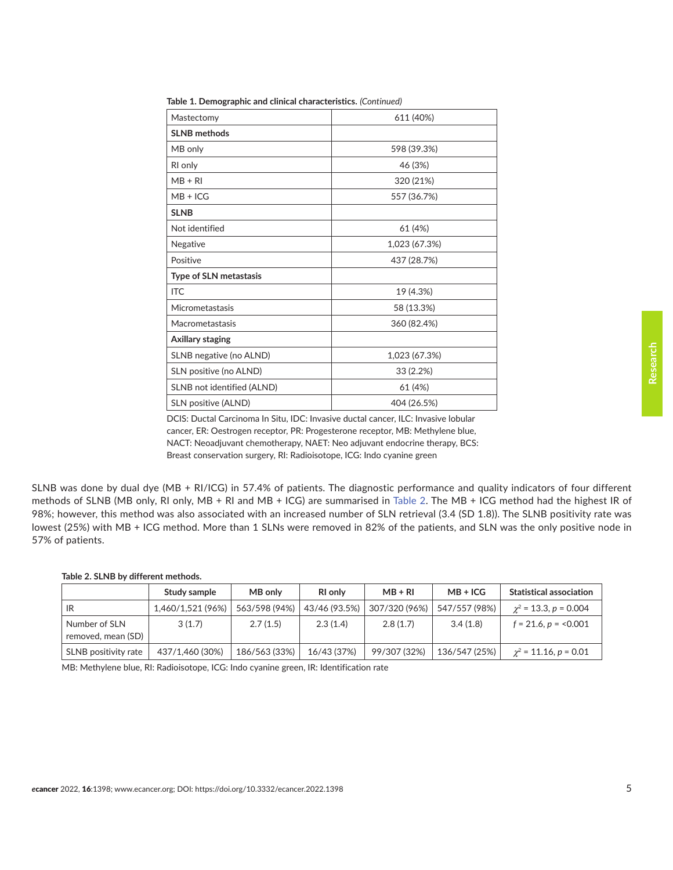| Mastectomy                    | 611 (40%)     |
|-------------------------------|---------------|
| <b>SLNB</b> methods           |               |
| MB only                       | 598 (39.3%)   |
| RI only                       | 46 (3%)       |
| $MB + RI$                     | 320 (21%)     |
| $MB + ICG$                    | 557 (36.7%)   |
| <b>SLNB</b>                   |               |
| Not identified                | 61 (4%)       |
| Negative                      | 1,023 (67.3%) |
| Positive                      | 437 (28.7%)   |
| <b>Type of SLN metastasis</b> |               |
| <b>ITC</b>                    | 19 (4.3%)     |
| Micrometastasis               | 58 (13.3%)    |
| Macrometastasis               | 360 (82.4%)   |
| Axillary staging              |               |
| SLNB negative (no ALND)       | 1,023 (67.3%) |
| SLN positive (no ALND)        | 33 (2.2%)     |
| SLNB not identified (ALND)    | 61 (4%)       |
| SLN positive (ALND)           | 404 (26.5%)   |
|                               |               |

**Table 1. Demographic and clinical characteristics.** *(Continued)*

DCIS: Ductal Carcinoma In Situ, IDC: Invasive ductal cancer, ILC: Invasive lobular cancer, ER: Oestrogen receptor, PR: Progesterone receptor, MB: Methylene blue, NACT: Neoadjuvant chemotherapy, NAET: Neo adjuvant endocrine therapy, BCS: Breast conservation surgery, RI: Radioisotope, ICG: Indo cyanine green

SLNB was done by dual dye (MB + RI/ICG) in 57.4% of patients. The diagnostic performance and quality indicators of four different methods of SLNB (MB only, RI only, MB + RI and MB + ICG) are summarised in Table 2. The MB + ICG method had the highest IR of 98%; however, this method was also associated with an increased number of SLN retrieval (3.4 (SD 1.8)). The SLNB positivity rate was lowest (25%) with MB + ICG method. More than 1 SLNs were removed in 82% of the patients, and SLN was the only positive node in 57% of patients.

#### **Table 2. SLNB by different methods.**

|                                     | Study sample      | MB only       | <b>RI</b> only | $MB + RI$     | $MB + ICG$    | <b>Statistical association</b> |
|-------------------------------------|-------------------|---------------|----------------|---------------|---------------|--------------------------------|
| <b>IR</b>                           | 1,460/1,521 (96%) | 563/598 (94%) | 43/46 (93.5%)  | 307/320 (96%) | 547/557 (98%) | $\chi^2$ = 13.3, p = 0.004     |
| Number of SLN<br>removed, mean (SD) | 3(1.7)            | 2.7(1.5)      | 2.3(1.4)       | 2.8(1.7)      | 3.4(1.8)      | $f = 21.6, p = 0.001$          |
| SLNB positivity rate                | 437/1,460 (30%)   | 186/563 (33%) | 16/43 (37%)    | 99/307 (32%)  | 136/547 (25%) | $\chi^2$ = 11.16, p = 0.01     |

MB: Methylene blue, RI: Radioisotope, ICG: Indo cyanine green, IR: Identification rate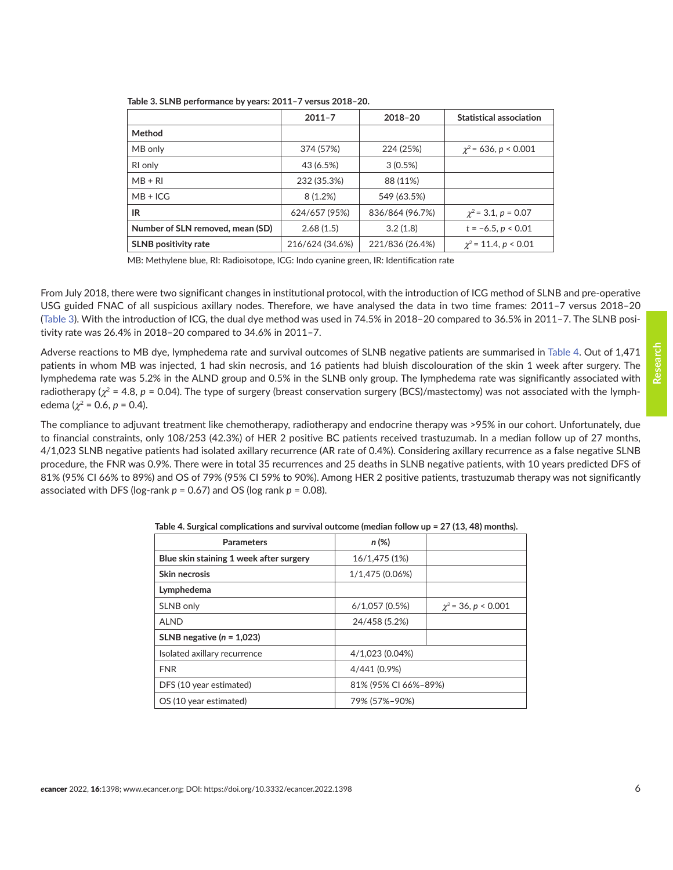|                                  | $2011 - 7$      | $2018 - 20$     | <b>Statistical association</b> |
|----------------------------------|-----------------|-----------------|--------------------------------|
| Method                           |                 |                 |                                |
| MB only                          | 374 (57%)       | 224 (25%)       | $\chi^2$ = 636, p < 0.001      |
| RI only                          | 43 (6.5%)       | $3(0.5\%)$      |                                |
| $MB + RI$                        | 232 (35.3%)     | 88 (11%)        |                                |
| $MB + ICG$                       | 8(1.2%)         | 549 (63.5%)     |                                |
| IR                               | 624/657 (95%)   | 836/864 (96.7%) | $\chi^2$ = 3.1, p = 0.07       |
| Number of SLN removed, mean (SD) | 2.68(1.5)       | 3.2(1.8)        | $t = -6.5, p < 0.01$           |
| <b>SLNB</b> positivity rate      | 216/624 (34.6%) | 221/836 (26.4%) | $\chi^2$ = 11.4, p < 0.01      |

<span id="page-5-0"></span>

| Table 3. SLNB performance by years: 2011–7 versus 2018–20. |  |  |  |  |  |  |  |
|------------------------------------------------------------|--|--|--|--|--|--|--|
|------------------------------------------------------------|--|--|--|--|--|--|--|

MB: Methylene blue, RI: Radioisotope, ICG: Indo cyanine green, IR: Identification rate

From July 2018, there were two significant changes in institutional protocol, with the introduction of ICG method of SLNB and pre-operative USG guided FNAC of all suspicious axillary nodes. Therefore, we have analysed the data in two time frames: 2011–7 versus 2018–20 (Table 3). With the introduction of ICG, the dual dye method was used in 74.5% in 2018–20 compared to 36.5% in 2011–7. The SLNB positivity rate was 26.4% in 2018–20 compared to 34.6% in 2011–7.

Adverse reactions to MB dye, lymphedema rate and survival outcomes of SLNB negative patients are summarised in Table 4. Out of 1,471 patients in whom MB was injected, 1 had skin necrosis, and 16 patients had bluish discolouration of the skin 1 week after surgery. The lymphedema rate was 5.2% in the ALND group and 0.5% in the SLNB only group. The lymphedema rate was significantly associated with radiotherapy ( $\chi^2$  = 4.8,  $p$  = 0.04). The type of surgery (breast conservation surgery (BCS)/mastectomy) was not associated with the lymphedema ( $\chi^2$  = 0.6, *p* = 0.4).

The compliance to adjuvant treatment like chemotherapy, radiotherapy and endocrine therapy was >95% in our cohort. Unfortunately, due to financial constraints, only 108/253 (42.3%) of HER 2 positive BC patients received trastuzumab. In a median follow up of 27 months, 4/1,023 SLNB negative patients had isolated axillary recurrence (AR rate of 0.4%). Considering axillary recurrence as a false negative SLNB procedure, the FNR was 0.9%. There were in total 35 recurrences and 25 deaths in SLNB negative patients, with 10 years predicted DFS of 81% (95% CI 66% to 89%) and OS of 79% (95% CI 59% to 90%). Among HER 2 positive patients, trastuzumab therapy was not significantly associated with DFS (log-rank *p* = 0.67) and OS (log rank *p* = 0.08).

| <b>Parameters</b>                       | $n (\%)$             |                          |
|-----------------------------------------|----------------------|--------------------------|
| Blue skin staining 1 week after surgery | 16/1,475 (1%)        |                          |
| Skin necrosis                           | 1/1,475 (0.06%)      |                          |
| Lymphedema                              |                      |                          |
| SLNB only                               | 6/1,057(0.5%)        | $\chi^2$ = 36, p < 0.001 |
| <b>ALND</b>                             | 24/458 (5.2%)        |                          |
| SLNB negative $(n = 1.023)$             |                      |                          |
| Isolated axillary recurrence            | 4/1,023 (0.04%)      |                          |
| <b>FNR</b>                              | 4/441 (0.9%)         |                          |
| DFS (10 year estimated)                 | 81% (95% CI 66%-89%) |                          |
| OS (10 year estimated)                  | 79% (57%-90%)        |                          |

**Table 4. Surgical complications and survival outcome (median follow up = 27 (13, 48) months).**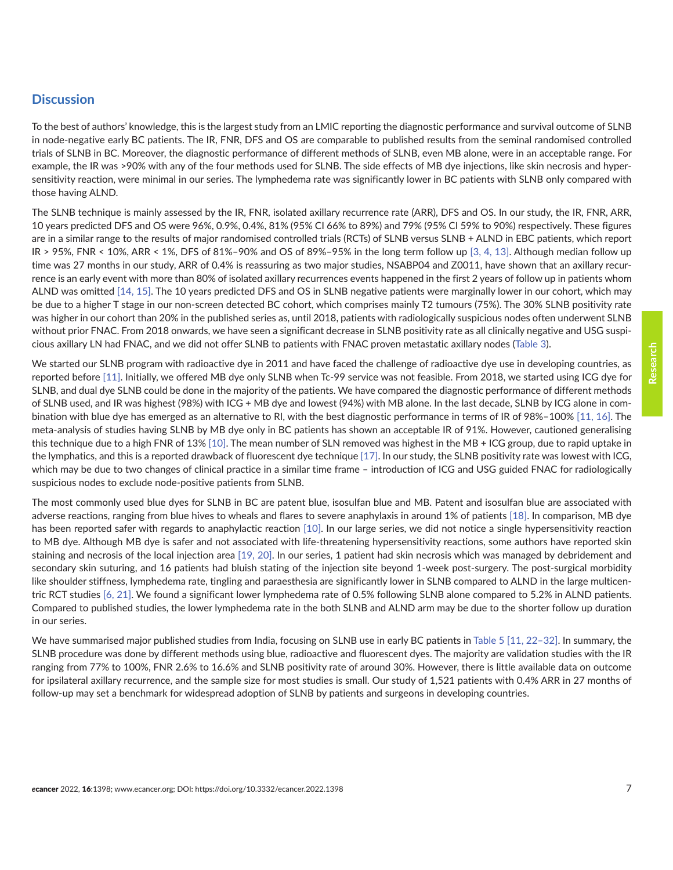#### **Discussion**

To the best of authors' knowledge, this is the largest study from an LMIC reporting the diagnostic performance and survival outcome of SLNB in node-negative early BC patients. The IR, FNR, DFS and OS are comparable to published results from the seminal randomised controlled trials of SLNB in BC. Moreover, the diagnostic performance of different methods of SLNB, even MB alone, were in an acceptable range. For example, the IR was >90% with any of the four methods used for SLNB. The side effects of MB dye injections, like skin necrosis and hypersensitivity reaction, were minimal in our series. The lymphedema rate was significantly lower in BC patients with SLNB only compared with those having ALND.

The SLNB technique is mainly assessed by the IR, FNR, isolated axillary recurrence rate (ARR), DFS and OS. In our study, the IR, FNR, ARR, 10 years predicted DFS and OS were 96%, 0.9%, 0.4%, 81% (95% CI 66% to 89%) and 79% (95% CI 59% to 90%) respectively. These figures are in a similar range to the results of major randomised controlled trials (RCTs) of SLNB versus SLNB + ALND in EBC patients, which report IR > 95%, FNR < 10%, ARR < 1%, DFS of 81%–90% and OS of 89%–95% in the long term follow up [\[3, 4,](#page-8-0) [13\]](#page-9-0). Although median follow up time was 27 months in our study, ARR of 0.4% is reassuring as two major studies, NSABP04 and Z0011, have shown that an axillary recurrence is an early event with more than 80% of isolated axillary recurrences events happened in the first 2 years of follow up in patients whom ALND was omitted [\[14, 15\]](#page-9-0). The 10 years predicted DFS and OS in SLNB negative patients were marginally lower in our cohort, which may be due to a higher T stage in our non-screen detected BC cohort, which comprises mainly T2 tumours (75%). The 30% SLNB positivity rate was higher in our cohort than 20% in the published series as, until 2018, patients with radiologically suspicious nodes often underwent SLNB without prior FNAC. From 2018 onwards, we have seen a significant decrease in SLNB positivity rate as all clinically negative and USG suspicious axillary LN had FNAC, and we did not offer SLNB to patients with FNAC proven metastatic axillary nodes ([Table 3](#page-5-0)).

We started our SLNB program with radioactive dye in 2011 and have faced the challenge of radioactive dye use in developing countries, as reported before [\[11\].](#page-8-0) Initially, we offered MB dye only SLNB when Tc-99 service was not feasible. From 2018, we started using ICG dye for SLNB, and dual dye SLNB could be done in the majority of the patients. We have compared the diagnostic performance of different methods of SLNB used, and IR was highest (98%) with ICG + MB dye and lowest (94%) with MB alone. In the last decade, SLNB by ICG alone in combination with blue dye has emerged as an alternative to RI, with the best diagnostic performance in terms of IR of 98%–100% [\[11,](#page-8-0) [16\].](#page-9-0) The meta-analysis of studies having SLNB by MB dye only in BC patients has shown an acceptable IR of 91%. However, cautioned generalising this technique due to a high FNR of 13% [\[10\].](#page-8-0) The mean number of SLN removed was highest in the MB + ICG group, due to rapid uptake in the lymphatics, and this is a reported drawback of fluorescent dye technique [\[17\]](#page-9-0). In our study, the SLNB positivity rate was lowest with ICG, which may be due to two changes of clinical practice in a similar time frame - introduction of ICG and USG guided FNAC for radiologically suspicious nodes to exclude node-positive patients from SLNB.

The most commonly used blue dyes for SLNB in BC are patent blue, isosulfan blue and MB. Patent and isosulfan blue are associated with adverse reactions, ranging from blue hives to wheals and flares to severe anaphylaxis in around 1% of patients [\[18\].](#page-9-0) In comparison, MB dye has been reported safer with regards to anaphylactic reaction [\[10\]](#page-8-0). In our large series, we did not notice a single hypersensitivity reaction to MB dye. Although MB dye is safer and not associated with life-threatening hypersensitivity reactions, some authors have reported skin staining and necrosis of the local injection area [\[19, 20\].](#page-9-0) In our series, 1 patient had skin necrosis which was managed by debridement and secondary skin suturing, and 16 patients had bluish stating of the injection site beyond 1-week post-surgery. The post-surgical morbidity like shoulder stiffness, lymphedema rate, tingling and paraesthesia are significantly lower in SLNB compared to ALND in the large multicentric RCT studies [\[6,](#page-8-0) [21\]](#page-9-0). We found a significant lower lymphedema rate of 0.5% following SLNB alone compared to 5.2% in ALND patients. Compared to published studies, the lower lymphedema rate in the both SLNB and ALND arm may be due to the shorter follow up duration in our series.

We have summarised major published studies from India, focusing on SLNB use in early BC patients in [Table 5](#page-7-0) [\[11,](#page-8-0) 22-32]. In summary, the SLNB procedure was done by different methods using blue, radioactive and fluorescent dyes. The majority are validation studies with the IR ranging from 77% to 100%, FNR 2.6% to 16.6% and SLNB positivity rate of around 30%. However, there is little available data on outcome for ipsilateral axillary recurrence, and the sample size for most studies is small. Our study of 1,521 patients with 0.4% ARR in 27 months of follow-up may set a benchmark for widespread adoption of SLNB by patients and surgeons in developing countries.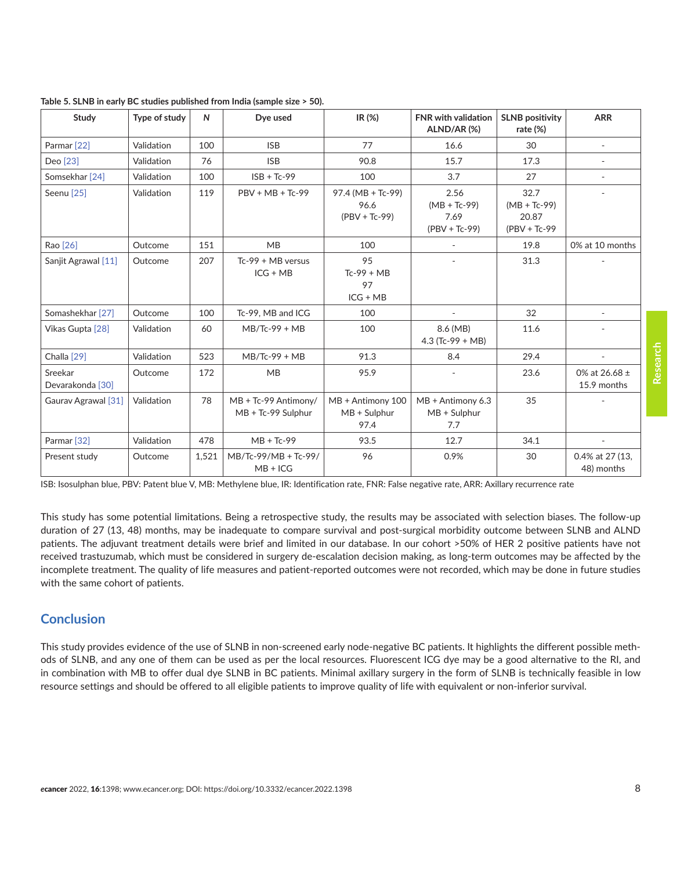| <b>Study</b>                | Type of study | N     | Dye used                                   | IR(%)                                        | <b>FNR</b> with validation<br>ALND/AR(%)          | <b>SLNB positivity</b><br>rate (%)                 | <b>ARR</b>                    |
|-----------------------------|---------------|-------|--------------------------------------------|----------------------------------------------|---------------------------------------------------|----------------------------------------------------|-------------------------------|
| Parmar <sup>[22]</sup>      | Validation    | 100   | <b>ISB</b>                                 | 77                                           | 16.6                                              | 30                                                 |                               |
| Deo [23]                    | Validation    | 76    | <b>ISB</b>                                 | 90.8                                         | 15.7                                              | 17.3                                               |                               |
| Somsekhar <sup>[24]</sup>   | Validation    | 100   | $ISB + Tc-99$                              | 100                                          | 3.7                                               | 27                                                 |                               |
| Seenu <sup>[25]</sup>       | Validation    | 119   | $PBV + MB + Tc-99$                         | 97.4 (MB + Tc-99)<br>96.6<br>$(PBV + Tc-99)$ | 2.56<br>$(MB + Tc-99)$<br>7.69<br>$(PBV + Tc-99)$ | 32.7<br>$(MB + Tc-99)$<br>20.87<br>$(PBV + Tc-99)$ | $\overline{\phantom{a}}$      |
| Rao [26]                    | Outcome       | 151   | MB                                         | 100                                          | $\overline{\phantom{a}}$                          | 19.8                                               | 0% at 10 months               |
| Sanjit Agrawal [11]         | Outcome       | 207   | $Tc-99 + MB$ versus<br>$ICG + MB$          | 95<br>$Tc-99 + MB$<br>97<br>$ICG + MB$       |                                                   | 31.3                                               |                               |
| Somashekhar [27]            | Outcome       | 100   | Tc-99, MB and ICG                          | 100                                          |                                                   | 32                                                 |                               |
| Vikas Gupta [28]            | Validation    | 60    | $MB/Tc-99 + MB$                            | 100                                          | 8.6 (MB)<br>4.3 (Tc-99 + MB)                      | 11.6                                               |                               |
| Challa <sup>[29]</sup>      | Validation    | 523   | $MB/Tc-99 + MB$                            | 91.3                                         | 8.4                                               | 29.4                                               | $\overline{\phantom{a}}$      |
| Sreekar<br>Devarakonda [30] | Outcome       | 172   | MB                                         | 95.9                                         |                                                   | 23.6                                               | 0% at 26.68 ±<br>15.9 months  |
| Gaurav Agrawal [31]         | Validation    | 78    | MB + Tc-99 Antimony/<br>MB + Tc-99 Sulphur | MB + Antimony 100<br>$MB + Sulphur$<br>97.4  | MB + Antimony 6.3<br>$MB + Sulphur$<br>7.7        | 35                                                 |                               |
| Parmar <sup>[32]</sup>      | Validation    | 478   | $MB + Tc-99$                               | 93.5                                         | 12.7                                              | 34.1                                               | $\sim$                        |
| Present study               | Outcome       | 1,521 | MB/Tc-99/MB + Tc-99/<br>$MB + ICG$         | 96                                           | 0.9%                                              | 30                                                 | 0.4% at 27 (13,<br>48) months |

<span id="page-7-0"></span>

| Table 5. SLNB in early BC studies published from India (sample size > 50). |  |  |  |
|----------------------------------------------------------------------------|--|--|--|
|                                                                            |  |  |  |

ISB: Isosulphan blue, PBV: Patent blue V, MB: Methylene blue, IR: Identification rate, FNR: False negative rate, ARR: Axillary recurrence rate

This study has some potential limitations. Being a retrospective study, the results may be associated with selection biases. The follow-up duration of 27 (13, 48) months, may be inadequate to compare survival and post-surgical morbidity outcome between SLNB and ALND patients. The adjuvant treatment details were brief and limited in our database. In our cohort >50% of HER 2 positive patients have not received trastuzumab, which must be considered in surgery de-escalation decision making, as long-term outcomes may be affected by the incomplete treatment. The quality of life measures and patient-reported outcomes were not recorded, which may be done in future studies with the same cohort of patients.

#### **Conclusion**

This study provides evidence of the use of SLNB in non-screened early node-negative BC patients. It highlights the different possible methods of SLNB, and any one of them can be used as per the local resources. Fluorescent ICG dye may be a good alternative to the RI, and in combination with MB to offer dual dye SLNB in BC patients. Minimal axillary surgery in the form of SLNB is technically feasible in low resource settings and should be offered to all eligible patients to improve quality of life with equivalent or non-inferior survival.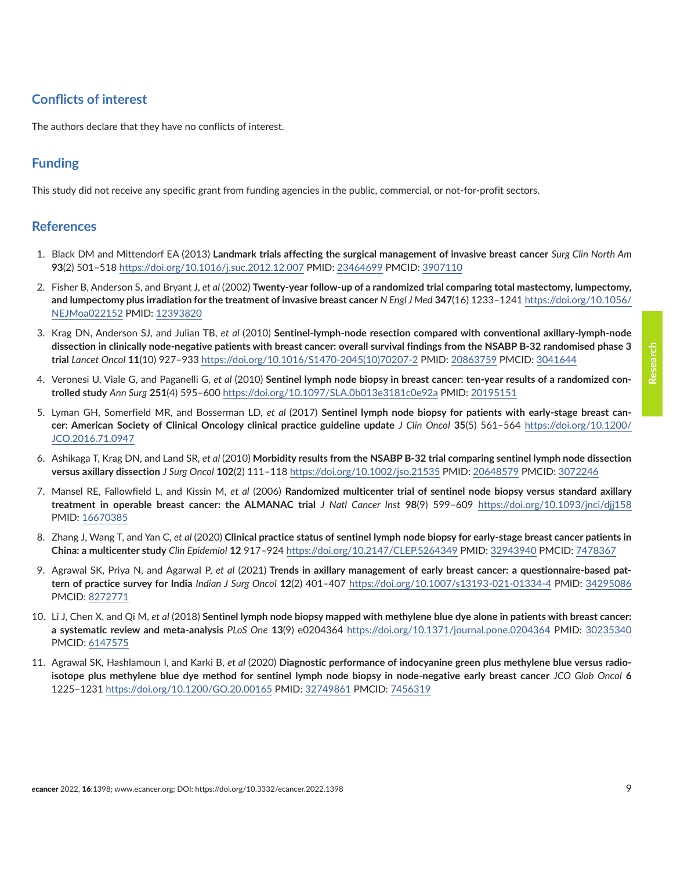### <span id="page-8-0"></span>**Conflicts of interest**

The authors declare that they have no conflicts of interest.

#### **Funding**

This study did not receive any specific grant from funding agencies in the public, commercial, or not-for-profit sectors.

#### **References**

- 1. Black DM and Mittendorf EA (2013) **Landmark trials affecting the surgical management of invasive breast cancer** *Surg Clin North Am* **93**(2) 501–518 <https://doi.org/10.1016/j.suc.2012.12.007>PMID: [23464699](http://www.ncbi.nlm.nih.gov/pubmed/23464699) PMCID: [3907110](http://www.ncbi.nlm.nih.gov/pmc/articles/PMC3907110)
- 2. Fisher B, Anderson S, and Bryant J, *et al* (2002) **Twenty-year follow-up of a randomized trial comparing total mastectomy, lumpectomy, and lumpectomy plus irradiation for the treatment of invasive breast cancer** *N Engl J Med* **347**(16) 1233–1241 [https://doi.org/10.1056/](https://doi.org/10.1056/NEJMoa022152) [NEJMoa022152](https://doi.org/10.1056/NEJMoa022152) PMID: [12393820](http://www.ncbi.nlm.nih.gov/pubmed/12393820)
- 3. Krag DN, Anderson SJ, and Julian TB, *et al* (2010) **Sentinel-lymph-node resection compared with conventional axillary-lymph-node dissection in clinically node-negative patients with breast cancer: overall survival findings from the NSABP B-32 randomised phase 3 trial** *Lancet Oncol* **11**(10) 927–933 [https://doi.org/10.1016/S1470-2045\(10\)70207-2](https://doi.org/10.1016/S1470-2045(10)70207-2) PMID: [20863759](http://www.ncbi.nlm.nih.gov/pubmed/20863759) PMCID: [3041644](http://www.ncbi.nlm.nih.gov/pmc/articles/PMC3041644)
- 4. Veronesi U, Viale G, and Paganelli G, *et al* (2010) **Sentinel lymph node biopsy in breast cancer: ten-year results of a randomized controlled study** *Ann Surg* **251**(4) 595–600 <https://doi.org/10.1097/SLA.0b013e3181c0e92a>PMID: [20195151](http://www.ncbi.nlm.nih.gov/pubmed/20195151)
- 5. Lyman GH, Somerfield MR, and Bosserman LD, *et al* (2017) **Sentinel lymph node biopsy for patients with early-stage breast cancer: American Society of Clinical Oncology clinical practice guideline update** *J Clin Oncol* **35**(5) 561–564 [https://doi.org/10.1200/](https://doi.org/10.1200/JCO.2016.71.0947) [JCO.2016.71.0947](https://doi.org/10.1200/JCO.2016.71.0947)
- 6. Ashikaga T, Krag DN, and Land SR, *et al* (2010) **Morbidity results from the NSABP B-32 trial comparing sentinel lymph node dissection versus axillary dissection** *J Surg Oncol* **102**(2) 111–118 <https://doi.org/10.1002/jso.21535>PMID: [20648579](http://www.ncbi.nlm.nih.gov/pubmed/20648579) PMCID: [3072246](http://www.ncbi.nlm.nih.gov/pmc/articles/PMC3072246)
- 7. Mansel RE, Fallowfield L, and Kissin M, *et al* (2006) **Randomized multicenter trial of sentinel node biopsy versus standard axillary treatment in operable breast cancer: the ALMANAC trial** *J Natl Cancer Inst* **98**(9) 599–609 <https://doi.org/10.1093/jnci/djj158> PMID: [16670385](http://www.ncbi.nlm.nih.gov/pubmed/16670385)
- 8. Zhang J, Wang T, and Yan C, *et al* (2020) **Clinical practice status of sentinel lymph node biopsy for early-stage breast cancer patients in China: a multicenter study** *Clin Epidemiol* **12** 917–924 <https://doi.org/10.2147/CLEP.S264349>PMID: [32943940](http://www.ncbi.nlm.nih.gov/pubmed/32943940) PMCID: [7478367](http://www.ncbi.nlm.nih.gov/pmc/articles/PMC7478367)
- 9. Agrawal SK, Priya N, and Agarwal P, *et al* (2021) **Trends in axillary management of early breast cancer: a questionnaire-based pattern of practice survey for India** *Indian J Surg Oncol* **12**(2) 401–407 <https://doi.org/10.1007/s13193-021-01334-4>PMID: [34295086](http://www.ncbi.nlm.nih.gov/pubmed/34295086) PMCID: [8272771](http://www.ncbi.nlm.nih.gov/pmc/articles/PMC8272771)
- 10. Li J, Chen X, and Qi M, *et al* (2018) **Sentinel lymph node biopsy mapped with methylene blue dye alone in patients with breast cancer: a systematic review and meta-analysis** *PLoS One* **13**(9) e0204364 <https://doi.org/10.1371/journal.pone.0204364>PMID: [30235340](http://www.ncbi.nlm.nih.gov/pubmed/30235340) PMCID: [6147575](http://www.ncbi.nlm.nih.gov/pmc/articles/PMC6147575)
- 11. Agrawal SK, Hashlamoun I, and Karki B, *et al* (2020) **Diagnostic performance of indocyanine green plus methylene blue versus radioisotope plus methylene blue dye method for sentinel lymph node biopsy in node-negative early breast cancer** *JCO Glob Oncol* **6** 1225–1231<https://doi.org/10.1200/GO.20.00165>PMID: [32749861](http://www.ncbi.nlm.nih.gov/pubmed/32749861) PMCID: [7456319](http://www.ncbi.nlm.nih.gov/pmc/articles/PMC7456319)